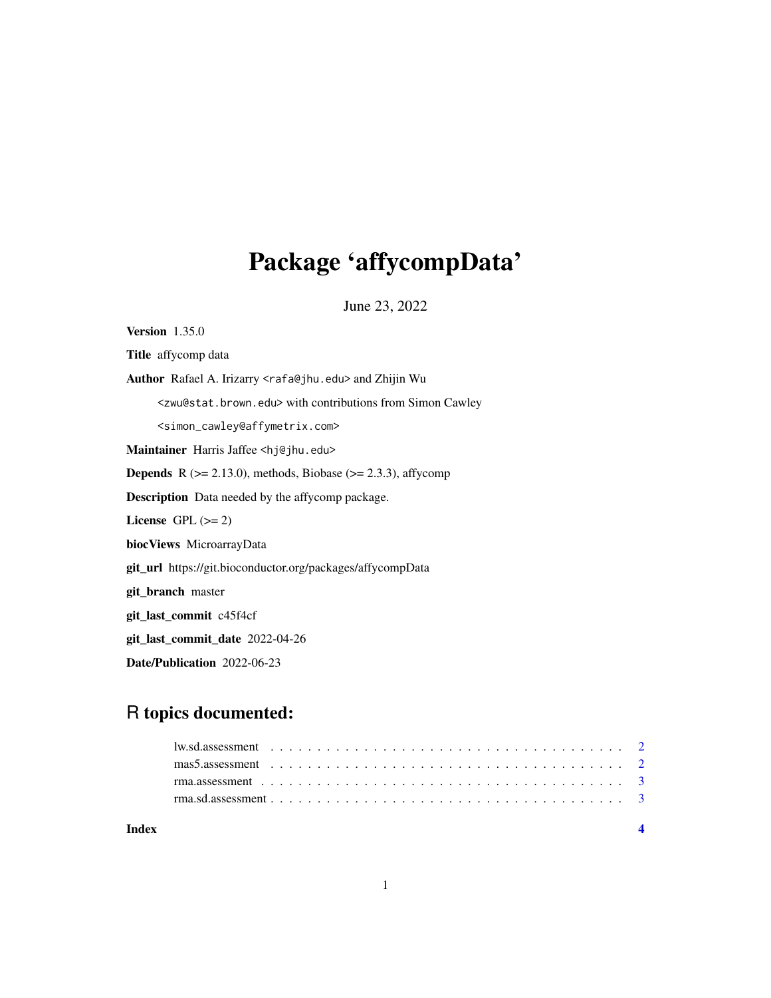# Package 'affycompData'

June 23, 2022

<span id="page-0-0"></span>Version 1.35.0 Title affycomp data Author Rafael A. Irizarry <rafa@jhu.edu> and Zhijin Wu <zwu@stat.brown.edu> with contributions from Simon Cawley <simon\_cawley@affymetrix.com> Maintainer Harris Jaffee <hj@jhu.edu> **Depends** R  $(>= 2.13.0)$ , methods, Biobase  $(>= 2.3.3)$ , affycomp Description Data needed by the affycomp package. License GPL  $(>= 2)$ biocViews MicroarrayData git\_url https://git.bioconductor.org/packages/affycompData git\_branch master git\_last\_commit c45f4cf git\_last\_commit\_date 2022-04-26 Date/Publication 2022-06-23

# R topics documented:

| Index |                                                                                                                                                                |  |  |  |  |  |  |  |  |  |  |  |  |  |  |  |  |  |  |
|-------|----------------------------------------------------------------------------------------------------------------------------------------------------------------|--|--|--|--|--|--|--|--|--|--|--|--|--|--|--|--|--|--|
|       |                                                                                                                                                                |  |  |  |  |  |  |  |  |  |  |  |  |  |  |  |  |  |  |
|       | rma.assessment $\ldots$ $\ldots$ $\ldots$ $\ldots$ $\ldots$ $\ldots$ $\ldots$ $\ldots$ $\ldots$ $\ldots$ $\ldots$ $\ldots$ $\ldots$ $\ldots$ $\ldots$ $\ldots$ |  |  |  |  |  |  |  |  |  |  |  |  |  |  |  |  |  |  |
|       |                                                                                                                                                                |  |  |  |  |  |  |  |  |  |  |  |  |  |  |  |  |  |  |
|       |                                                                                                                                                                |  |  |  |  |  |  |  |  |  |  |  |  |  |  |  |  |  |  |
|       |                                                                                                                                                                |  |  |  |  |  |  |  |  |  |  |  |  |  |  |  |  |  |  |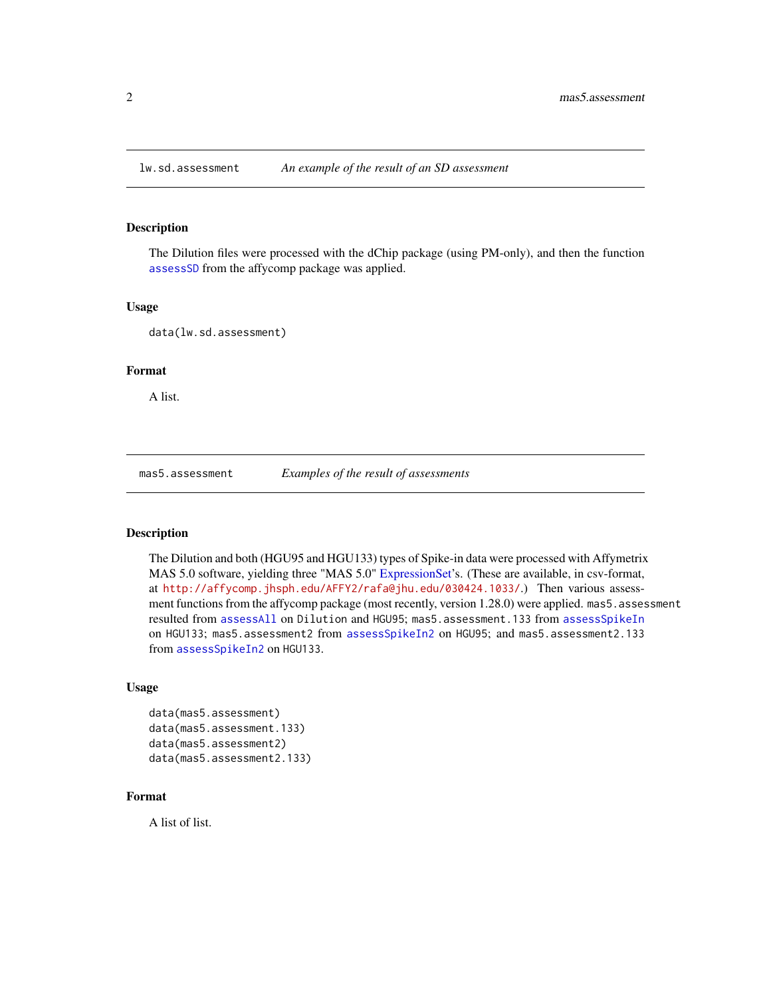<span id="page-1-0"></span>

# Description

The Dilution files were processed with the dChip package (using PM-only), and then the function [assessSD](#page-0-0) from the affycomp package was applied.

#### Usage

data(lw.sd.assessment)

# Format

A list.

mas5.assessment *Examples of the result of assessments*

# Description

The Dilution and both (HGU95 and HGU133) types of Spike-in data were processed with Affymetrix MAS 5.0 software, yielding three "MAS 5.0" [ExpressionSet'](#page-0-0)s. (These are available, in csv-format, at <http://affycomp.jhsph.edu/AFFY2/rafa@jhu.edu/030424.1033/>.) Then various assessment functions from the affycomp package (most recently, version 1.28.0) were applied. mas5. assessment resulted from [assessAll](#page-0-0) on Dilution and HGU95; mas5.assessment.133 from [assessSpikeIn](#page-0-0) on HGU133; mas5.assessment2 from [assessSpikeIn2](#page-0-0) on HGU95; and mas5.assessment2.133 from [assessSpikeIn2](#page-0-0) on HGU133.

#### Usage

```
data(mas5.assessment)
data(mas5.assessment.133)
data(mas5.assessment2)
data(mas5.assessment2.133)
```
# Format

A list of list.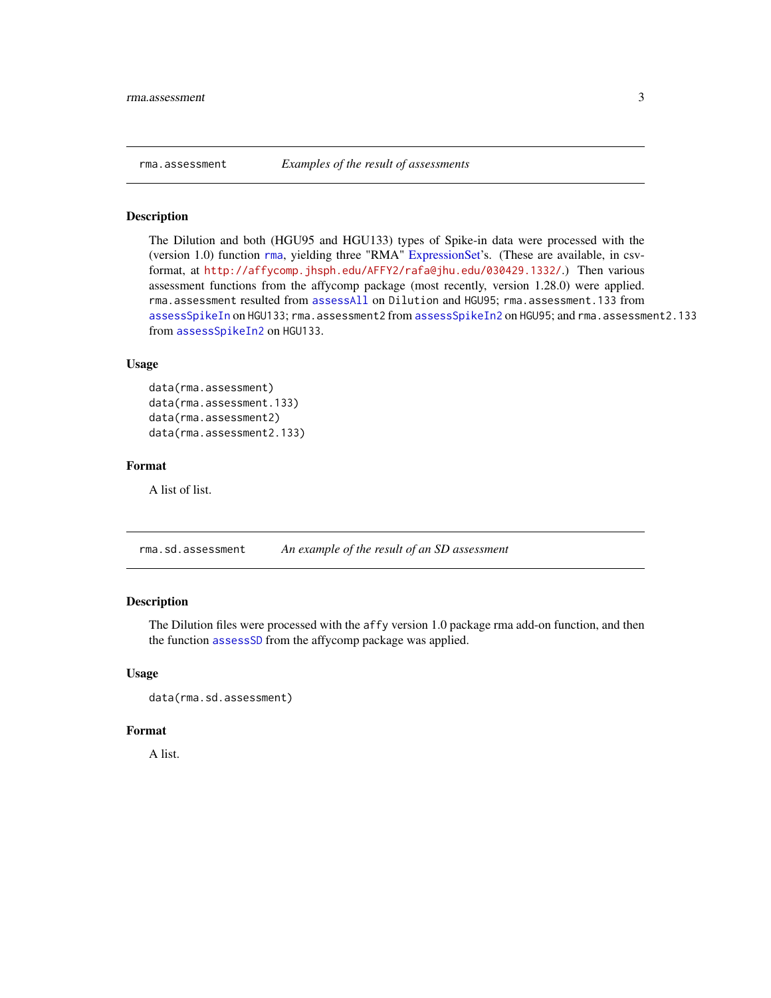<span id="page-2-0"></span>

#### Description

The Dilution and both (HGU95 and HGU133) types of Spike-in data were processed with the (version 1.0) function [rma](#page-0-0), yielding three "RMA" [ExpressionSet'](#page-0-0)s. (These are available, in csvformat, at <http://affycomp.jhsph.edu/AFFY2/rafa@jhu.edu/030429.1332/>.) Then various assessment functions from the affycomp package (most recently, version 1.28.0) were applied. rma.assessment resulted from [assessAll](#page-0-0) on Dilution and HGU95; rma.assessment.133 from [assessSpikeIn](#page-0-0) on HGU133; rma.assessment2 from [assessSpikeIn2](#page-0-0) on HGU95; and rma.assessment2.133 from [assessSpikeIn2](#page-0-0) on HGU133.

# Usage

```
data(rma.assessment)
data(rma.assessment.133)
data(rma.assessment2)
data(rma.assessment2.133)
```
# Format

A list of list.

rma.sd.assessment *An example of the result of an SD assessment*

### Description

The Dilution files were processed with the affy version 1.0 package rma add-on function, and then the function [assessSD](#page-0-0) from the affycomp package was applied.

# Usage

```
data(rma.sd.assessment)
```
#### Format

A list.